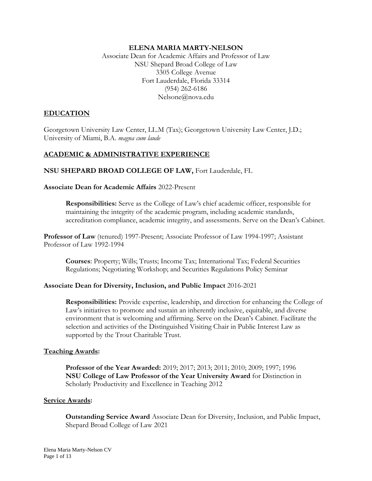### **ELENA MARIA MARTY-NELSON**

Associate Dean for Academic Affairs and Professor of Law NSU Shepard Broad College of Law 3305 College Avenue Fort Lauderdale, Florida 33314 (954) 262-6186 Nelsone@nova.edu

# **EDUCATION**

Georgetown University Law Center, LL.M (Tax); Georgetown University Law Center, J.D.; University of Miami, B.A. *magna cum laude*

## **ACADEMIC & ADMINISTRATIVE EXPERIENCE**

**NSU SHEPARD BROAD COLLEGE OF LAW,** Fort Lauderdale, FL

**Associate Dean for Academic Affairs** 2022-Present

**Responsibilities:** Serve as the College of Law's chief academic officer, responsible for maintaining the integrity of the academic program, including academic standards, accreditation compliance, academic integrity, and assessments. Serve on the Dean's Cabinet.

**Professor of Law** (tenured) 1997-Present; Associate Professor of Law 1994-1997; Assistant Professor of Law 1992-1994

**Courses**: Property; Wills; Trusts; Income Tax; International Tax; Federal Securities Regulations; Negotiating Workshop; and Securities Regulations Policy Seminar

#### **Associate Dean for Diversity, Inclusion, and Public Impact** 2016-2021

**Responsibilities:** Provide expertise, leadership, and direction for enhancing the College of Law's initiatives to promote and sustain an inherently inclusive, equitable, and diverse environment that is welcoming and affirming. Serve on the Dean's Cabinet. Facilitate the selection and activities of the Distinguished Visiting Chair in Public Interest Law as supported by the Trout Charitable Trust.

#### **Teaching Awards:**

**Professor of the Year Awarded:** 2019; 2017; 2013; 2011; 2010; 2009; 1997; 1996 **NSU College of Law Professor of the Year University Award** for Distinction in Scholarly Productivity and Excellence in Teaching 2012

#### **Service Awards:**

**Outstanding Service Award** Associate Dean for Diversity, Inclusion, and Public Impact, Shepard Broad College of Law 2021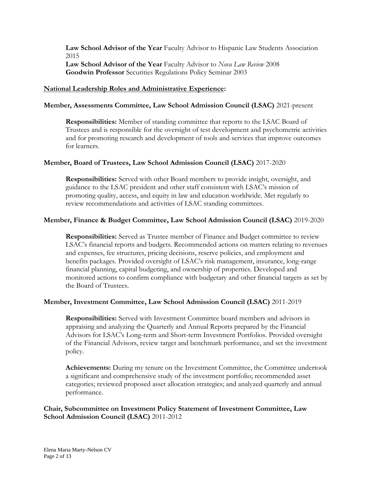**Law School Advisor of the Year** Faculty Advisor to Hispanic Law Students Association 2015 **Law School Advisor of the Year** Faculty Advisor to *Nova Law Review* 2008 **Goodwin Professor** Securities Regulations Policy Seminar 2003

#### **National Leadership Roles and Administrative Experience:**

#### **Member, Assessments Committee, Law School Admission Council (LSAC)** 2021-present

**Responsibilities:** Member of standing committee that reports to the LSAC Board of Trustees and is responsible for the oversight of test development and psychometric activities and for promoting research and development of tools and services that improve outcomes for learners.

#### **Member, Board of Trustees, Law School Admission Council (LSAC)** 2017-2020

**Responsibilities:** Served with other Board members to provide insight, oversight, and guidance to the LSAC president and other staff consistent with LSAC's mission of promoting quality, access, and equity in law and education worldwide. Met regularly to review recommendations and activities of LSAC standing committees.

#### **Member, Finance & Budget Committee, Law School Admission Council (LSAC)** 2019-2020

**Responsibilities:** Served as Trustee member of Finance and Budget committee to review LSAC's financial reports and budgets. Recommended actions on matters relating to revenues and expenses, fee structures, pricing decisions, reserve policies, and employment and benefits packages. Provided oversight of LSAC's risk management, insurance, long-range financial planning, capital budgeting, and ownership of properties. Developed and monitored actions to confirm compliance with budgetary and other financial targets as set by the Board of Trustees.

#### **Member, Investment Committee, Law School Admission Council (LSAC)** 2011-2019

**Responsibilities:** Served with Investment Committee board members and advisors in appraising and analyzing the Quarterly and Annual Reports prepared by the Financial Advisors for LSAC's Long-term and Short-term Investment Portfolios. Provided oversight of the Financial Advisors, review target and benchmark performance, and set the investment policy.

**Achievements:** During my tenure on the Investment Committee, the Committee undertook a significant and comprehensive study of the investment portfolio; recommended asset categories; reviewed proposed asset allocation strategies; and analyzed quarterly and annual performance.

## **Chair, Subcommittee on Investment Policy Statement of Investment Committee, Law School Admission Council (LSAC)** 2011-2012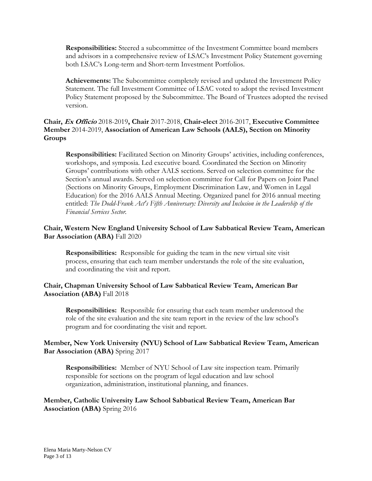**Responsibilities:** Steered a subcommittee of the Investment Committee board members and advisors in a comprehensive review of LSAC's Investment Policy Statement governing both LSAC's Long-term and Short-term Investment Portfolios.

**Achievements:** The Subcommittee completely revised and updated the Investment Policy Statement. The full Investment Committee of LSAC voted to adopt the revised Investment Policy Statement proposed by the Subcommittee. The Board of Trustees adopted the revised version.

# **Chair, Ex Officio** 2018-2019**, Chair** 2017-2018, **Chair-elect** 2016-2017, **Executive Committee Member** 2014-2019, **Association of American Law Schools (AALS), Section on Minority Groups**

**Responsibilities:** Facilitated Section on Minority Groups' activities, including conferences, workshops, and symposia. Led executive board. Coordinated the Section on Minority Groups' contributions with other AALS sections. Served on selection committee for the Section's annual awards. Served on selection committee for Call for Papers on Joint Panel (Sections on Minority Groups, Employment Discrimination Law, and Women in Legal Education) for the 2016 AALS Annual Meeting. Organized panel for 2016 annual meeting entitled: *The Dodd-Frank Act's Fifth Anniversary: Diversity and Inclusion in the Leadership of the Financial Services Sector.*

# **Chair, Western New England University School of Law Sabbatical Review Team, American Bar Association (ABA)** Fall 2020

**Responsibilities:** Responsible for guiding the team in the new virtual site visit process, ensuring that each team member understands the role of the site evaluation, and coordinating the visit and report.

# **Chair, Chapman University School of Law Sabbatical Review Team, American Bar Association (ABA)** Fall 2018

**Responsibilities:** Responsible for ensuring that each team member understood the role of the site evaluation and the site team report in the review of the law school's program and for coordinating the visit and report.

# **Member, New York University (NYU) School of Law Sabbatical Review Team, American Bar Association (ABA)** Spring 2017

**Responsibilities:** Member of NYU School of Law site inspection team. Primarily responsible for sections on the program of legal education and law school organization, administration, institutional planning, and finances.

# **Member, Catholic University Law School Sabbatical Review Team, American Bar Association (ABA)** Spring 2016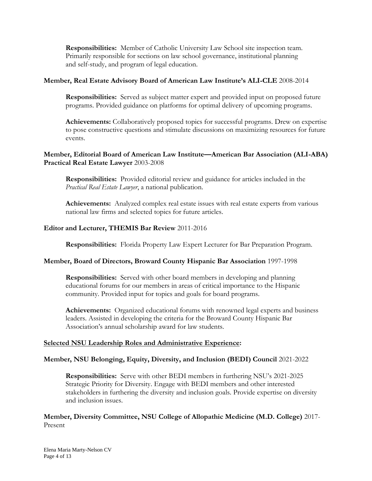**Responsibilities:** Member of Catholic University Law School site inspection team. Primarily responsible for sections on law school governance, institutional planning and self-study, and program of legal education.

### **Member, Real Estate Advisory Board of American Law Institute's ALI-CLE** 2008-2014

**Responsibilities:** Served as subject matter expert and provided input on proposed future programs. Provided guidance on platforms for optimal delivery of upcoming programs.

**Achievements:** Collaboratively proposed topics for successful programs. Drew on expertise to pose constructive questions and stimulate discussions on maximizing resources for future events.

## **Member, Editorial Board of American Law Institute—American Bar Association (ALI-ABA) Practical Real Estate Lawyer** 2003-2008

**Responsibilities:** Provided editorial review and guidance for articles included in the *Practical Real Estate Lawyer*, a national publication.

**Achievements:** Analyzed complex real estate issues with real estate experts from various national law firms and selected topics for future articles.

#### **Editor and Lecturer, THEMIS Bar Review** 2011-2016

**Responsibilities:** Florida Property Law Expert Lecturer for Bar Preparation Program.

#### **Member, Board of Directors, Broward County Hispanic Bar Association** 1997-1998

**Responsibilities:** Served with other board members in developing and planning educational forums for our members in areas of critical importance to the Hispanic community. Provided input for topics and goals for board programs.

**Achievements:** Organized educational forums with renowned legal experts and business leaders. Assisted in developing the criteria for the Broward County Hispanic Bar Association's annual scholarship award for law students.

#### **Selected NSU Leadership Roles and Administrative Experience:**

## **Member, NSU Belonging, Equity, Diversity, and Inclusion (BEDI) Council** 2021-2022

**Responsibilities:** Serve with other BEDI members in furthering NSU's 2021-2025 Strategic Priority for Diversity. Engage with BEDI members and other interested stakeholders in furthering the diversity and inclusion goals. Provide expertise on diversity and inclusion issues.

## **Member, Diversity Committee, NSU College of Allopathic Medicine (M.D. College)** 2017- Present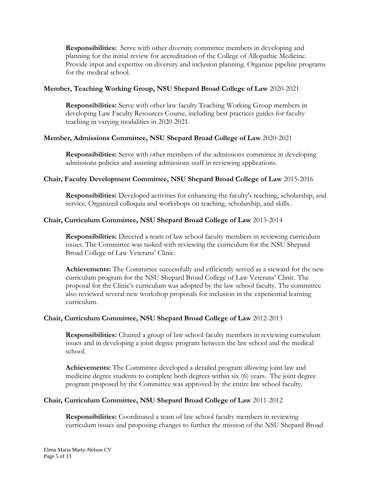**Responsibilities:** Serve with other diversity committee members in developing and planning for the initial review for accreditation of the College of Allopathic Medicine. Provide input and expertise on diversity and inclusion planning. Organize pipeline programs for the medical school.

## **Member, Teaching Working Group, NSU Shepard Broad College of Law** 2020-2021

**Responsibilities:** Serve with other law faculty Teaching Working Group members in developing Law Faculty Resources Course, including best practices guides for faculty teaching in varying modalities in 2020-2021.

## **Member, Admissions Committee, NSU Shepard Broad College of Law** 2020-2021

**Responsibilities:** Serve with other members of the admissions committee in developing admissions policies and assisting admissions staff in reviewing applications.

# **Chair, Faculty Development Committee, NSU Shepard Broad College of Law** 2015-2016

**Responsibilities:** Developed activities for enhancing the faculty's teaching, scholarship, and service. Organized colloquia and workshops on teaching, scholarship, and skills.

## **Chair, Curriculum Committee, NSU Shepard Broad College of Law** 2013-2014

**Responsibilities:** Directed a team of law school faculty members in reviewing curriculum issues. The Committee was tasked with reviewing the curriculum for the NSU Shepard Broad College of Law Veterans' Clinic.

**Achievements:** The Committee successfully and efficiently served as a steward for the new curriculum program for the NSU Shepard Broad College of Law Veterans' Clinic. The proposal for the Clinic's curriculum was adopted by the law school faculty. The committee also reviewed several new workshop proposals for inclusion in the experiential learning curriculum.

## **Chair, Curriculum Committee, NSU Shepard Broad College of Law** 2012-2013

**Responsibilities:** Chaired a group of law school faculty members in reviewing curriculum issues and in developing a joint degree program between the law school and the medical school.

**Achievements:** The Committee developed a detailed program allowing joint law and medicine degree students to complete both degrees within six (6) years. The joint degree program proposed by the Committee was approved by the entire law school faculty.

# **Chair, Curriculum Committee, NSU Shepard Broad College of Law** 2011-2012

**Responsibilities:** Coordinated a team of law school faculty members in reviewing curriculum issues and proposing changes to further the mission of the NSU Shepard Broad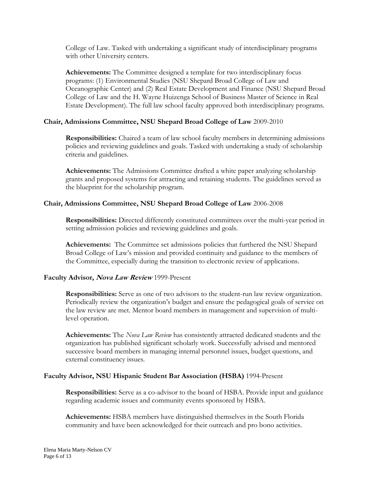College of Law. Tasked with undertaking a significant study of interdisciplinary programs with other University centers.

**Achievements:** The Committee designed a template for two interdisciplinary focus programs: (1) Environmental Studies (NSU Shepard Broad College of Law and Oceanographic Center) and (2) Real Estate Development and Finance (NSU Shepard Broad College of Law and the H. Wayne Huizenga School of Business Master of Science in Real Estate Development). The full law school faculty approved both interdisciplinary programs.

# **Chair, Admissions Committee, NSU Shepard Broad College of Law** 2009-2010

**Responsibilities:** Chaired a team of law school faculty members in determining admissions policies and reviewing guidelines and goals. Tasked with undertaking a study of scholarship criteria and guidelines.

**Achievements:** The Admissions Committee drafted a white paper analyzing scholarship grants and proposed systems for attracting and retaining students. The guidelines served as the blueprint for the scholarship program.

# **Chair, Admissions Committee, NSU Shepard Broad College of Law** 2006-2008

**Responsibilities:** Directed differently constituted committees over the multi-year period in setting admission policies and reviewing guidelines and goals.

**Achievements:** The Committee set admissions policies that furthered the NSU Shepard Broad College of Law's mission and provided continuity and guidance to the members of the Committee, especially during the transition to electronic review of applications.

## **Faculty Advisor, Nova Law Review** 1999-Present

**Responsibilities:** Serve as one of two advisors to the student-run law review organization. Periodically review the organization's budget and ensure the pedagogical goals of service on the law review are met. Mentor board members in management and supervision of multilevel operation.

**Achievements:** The *Nova Law Review* has consistently attracted dedicated students and the organization has published significant scholarly work. Successfully advised and mentored successive board members in managing internal personnel issues, budget questions, and external constituency issues.

## **Faculty Advisor, NSU Hispanic Student Bar Association (HSBA)** 1994-Present

**Responsibilities:** Serve as a co-advisor to the board of HSBA. Provide input and guidance regarding academic issues and community events sponsored by HSBA.

**Achievements:** HSBA members have distinguished themselves in the South Florida community and have been acknowledged for their outreach and pro bono activities.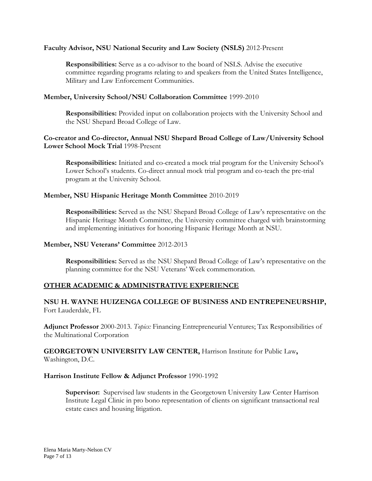#### **Faculty Advisor, NSU National Security and Law Society (NSLS)** 2012-Present

**Responsibilities:** Serve as a co-advisor to the board of NSLS. Advise the executive committee regarding programs relating to and speakers from the United States Intelligence, Military and Law Enforcement Communities.

### **Member, University School/NSU Collaboration Committee** 1999-2010

**Responsibilities:** Provided input on collaboration projects with the University School and the NSU Shepard Broad College of Law.

### **Co-creator and Co-director, Annual NSU Shepard Broad College of Law/University School Lower School Mock Trial** 1998-Present

**Responsibilities:** Initiated and co-created a mock trial program for the University School's Lower School's students. Co-direct annual mock trial program and co-teach the pre-trial program at the University School.

#### **Member, NSU Hispanic Heritage Month Committee** 2010-2019

**Responsibilities:** Served as the NSU Shepard Broad College of Law's representative on the Hispanic Heritage Month Committee, the University committee charged with brainstorming and implementing initiatives for honoring Hispanic Heritage Month at NSU.

#### **Member, NSU Veterans' Committee** 2012-2013

**Responsibilities:** Served as the NSU Shepard Broad College of Law's representative on the planning committee for the NSU Veterans' Week commemoration.

## **OTHER ACADEMIC & ADMINISTRATIVE EXPERIENCE**

# **NSU H. WAYNE HUIZENGA COLLEGE OF BUSINESS AND ENTREPENEURSHIP,**  Fort Lauderdale, FL

**Adjunct Professor** 2000-2013. *Topics:* Financing Entrepreneurial Ventures; Tax Responsibilities of the Multinational Corporation

**GEORGETOWN UNIVERSITY LAW CENTER,** Harrison Institute for Public Law**,**  Washington, D.C.

#### **Harrison Institute Fellow & Adjunct Professor** 1990-1992

**Supervisor:** Supervised law students in the Georgetown University Law Center Harrison Institute Legal Clinic in pro bono representation of clients on significant transactional real estate cases and housing litigation.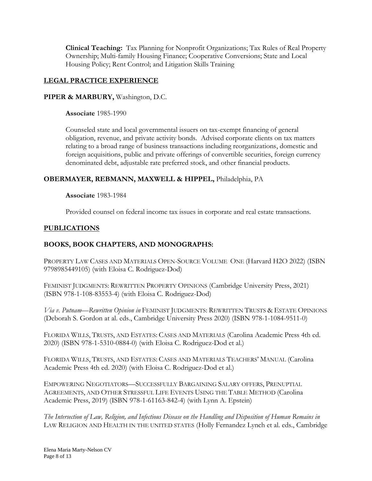**Clinical Teaching:** Tax Planning for Nonprofit Organizations; Tax Rules of Real Property Ownership; Multi-family Housing Finance; Cooperative Conversions; State and Local Housing Policy; Rent Control; and Litigation Skills Training

# **LEGAL PRACTICE EXPERIENCE**

### **PIPER & MARBURY,** Washington, D.C.

**Associate** 1985-1990

Counseled state and local governmental issuers on tax-exempt financing of general obligation, revenue, and private activity bonds. Advised corporate clients on tax matters relating to a broad range of business transactions including reorganizations, domestic and foreign acquisitions, public and private offerings of convertible securities, foreign currency denominated debt, adjustable rate preferred stock, and other financial products.

# **OBERMAYER, REBMANN, MAXWELL & HIPPEL,** Philadelphia, PA

**Associate** 1983-1984

Provided counsel on federal income tax issues in corporate and real estate transactions.

## **PUBLICATIONS**

## **BOOKS, BOOK CHAPTERS, AND MONOGRAPHS:**

PROPERTY LAW CASES AND MATERIALS OPEN-SOURCE VOLUME ONE (Harvard H2O 2022) (ISBN 9798985449105) (with Eloisa C. Rodriguez-Dod)

FEMINIST JUDGMENTS: REWRITTEN PROPERTY OPINIONS (Cambridge University Press, 2021) (ISBN 978-1-108-83553-4) (with Eloisa C. Rodriguez-Dod)

*Via v. Putnam—Rewritten Opinion in* FEMINIST JUDGMENTS: REWRITTEN TRUSTS & ESTATE OPINIONS (Deborah S. Gordon at al. eds., Cambridge University Press 2020) (ISBN 978-1-1084-9511-0)

FLORIDA WILLS, TRUSTS, AND ESTATES: CASES AND MATERIALS (Carolina Academic Press 4th ed. 2020) (ISBN 978-1-5310-0884-0) (with Eloisa C. Rodriguez-Dod et al.)

FLORIDA WILLS, TRUSTS, AND ESTATES: CASES AND MATERIALS TEACHERS' MANUAL (Carolina Academic Press 4th ed. 2020) (with Eloisa C. Rodriguez-Dod et al.)

EMPOWERING NEGOTIATORS—SUCCESSFULLY BARGAINING SALARY OFFERS, PRENUPTIAL AGREEMENTS, AND OTHER STRESSFUL LIFE EVENTS USING THE TABLE METHOD (Carolina Academic Press, 2019) (ISBN 978-1-61163-842-4) (with Lynn A. Epstein)

*The Intersection of Law, Religion, and Infectious Disease on the Handling and Disposition of Human Remains in*  LAW RELIGION AND HEALTH IN THE UNITED STATES (Holly Fernandez Lynch et al. eds., Cambridge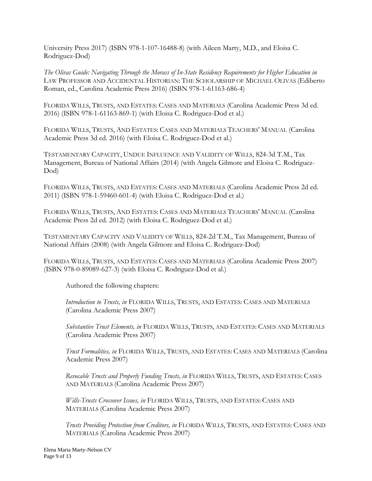University Press 2017) (ISBN 978-1-107-16488-8) (with Aileen Marty, M.D., and Eloisa C. Rodriguez-Dod)

*The Olivas Guide: Navigating Through the Morass of In-State Residency Requirements for Higher Education in* LAW PROFESSOR AND ACCIDENTAL HISTORIAN: THE SCHOLARSHIP OF MICHAEL OLIVAS (Ediberto Roman, ed., Carolina Academic Press 2016) (ISBN 978-1-61163-686-4)

FLORIDA WILLS, TRUSTS, AND ESTATES: CASES AND MATERIALS (Carolina Academic Press 3d ed. 2016) (ISBN 978-1-61163-869-1) (with Eloisa C. Rodriguez-Dod et al.)

FLORIDA WILLS, TRUSTS, AND ESTATES: CASES AND MATERIALS TEACHERS' MANUAL (Carolina Academic Press 3d ed. 2016) (with Eloisa C. Rodriguez-Dod et al.)

TESTAMENTARY CAPACITY, UNDUE INFLUENCE AND VALIDITY OF WILLS, 824-3d T.M., Tax Management, Bureau of National Affairs (2014) (with Angela Gilmore and Eloisa C. Rodriguez-Dod)

FLORIDA WILLS, TRUSTS, AND ESTATES: CASES AND MATERIALS (Carolina Academic Press 2d ed. 2011) (ISBN 978-1-59460-601-4) (with Eloisa C. Rodriguez-Dod et al.)

FLORIDA WILLS, TRUSTS, AND ESTATES: CASES AND MATERIALS TEACHERS' MANUAL (Carolina Academic Press 2d ed. 2012) (with Eloisa C. Rodriguez-Dod et al.)

TESTAMENTARY CAPACITY AND VALIDITY OF WILLS, 824-2d T.M., Tax Management, Bureau of National Affairs (2008) (with Angela Gilmore and Eloisa C. Rodriguez-Dod)

FLORIDA WILLS, TRUSTS, AND ESTATES: CASES AND MATERIALS (Carolina Academic Press 2007) (ISBN 978-0-89089-627-3) (with Eloisa C. Rodriguez-Dod et al.)

Authored the following chapters:

*Introduction to Trusts, in* FLORIDA WILLS, TRUSTS, AND ESTATES: CASES AND MATERIALS (Carolina Academic Press 2007)

*Substantive Trust Elements, in* FLORIDA WILLS, TRUSTS, AND ESTATES: CASES AND MATERIALS (Carolina Academic Press 2007)

*Trust Formalities, in* FLORIDA WILLS, TRUSTS, AND ESTATES: CASES AND MATERIALS (Carolina Academic Press 2007)

*Revocable Trusts and Properly Funding Trusts, in* FLORIDA WILLS, TRUSTS, AND ESTATES: CASES AND MATERIALS (Carolina Academic Press 2007)

*Wills-Trusts Crossover Issues, in* FLORIDA WILLS, TRUSTS, AND ESTATES: CASES AND MATERIALS (Carolina Academic Press 2007)

*Trusts Providing Protection from Creditors, in* FLORIDA WILLS, TRUSTS, AND ESTATES: CASES AND MATERIALS (Carolina Academic Press 2007)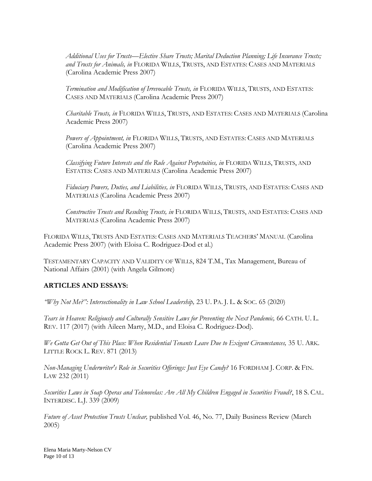*Additional Uses for Trusts—Elective Share Trusts; Marital Deduction Planning; Life Insurance Trusts; and Trusts for Animals, in* FLORIDA WILLS, TRUSTS, AND ESTATES: CASES AND MATERIALS (Carolina Academic Press 2007)

*Termination and Modification of Irrevocable Trusts, in* FLORIDA WILLS, TRUSTS, AND ESTATES: CASES AND MATERIALS (Carolina Academic Press 2007)

*Charitable Trusts, in* FLORIDA WILLS, TRUSTS, AND ESTATES: CASES AND MATERIALS (Carolina Academic Press 2007)

*Powers of Appointment, in* FLORIDA WILLS, TRUSTS, AND ESTATES: CASES AND MATERIALS (Carolina Academic Press 2007)

*Classifying Future Interests and the Rule Against Perpetuities, in* FLORIDA WILLS, TRUSTS, AND ESTATES: CASES AND MATERIALS (Carolina Academic Press 2007)

*Fiduciary Powers, Duties, and Liabilities, in* FLORIDA WILLS, TRUSTS, AND ESTATES: CASES AND MATERIALS (Carolina Academic Press 2007)

*Constructive Trusts and Resulting Trusts, in* FLORIDA WILLS, TRUSTS, AND ESTATES: CASES AND MATERIALS (Carolina Academic Press 2007)

FLORIDA WILLS, TRUSTS AND ESTATES: CASES AND MATERIALS TEACHERS' MANUAL (Carolina Academic Press 2007) (with Eloisa C. Rodriguez-Dod et al.)

TESTAMENTARY CAPACITY AND VALIDITY OF WILLS, 824 T.M., Tax Management, Bureau of National Affairs (2001) (with Angela Gilmore)

# **ARTICLES AND ESSAYS:**

*"Why Not Me?": Intersectionality in Law School Leadership,* 23 U. PA. J. L. & SOC. 65 (2020)

*Tears in Heaven: Religiously and Culturally Sensitive Laws for Preventing the Next Pandemic,* 66 CATH. U. L. REV. 117 (2017) (with Aileen Marty, M.D., and Eloisa C. Rodriguez-Dod).

*We Gotta Get Out of This Place: When Residential Tenants Leave Due to Exigent Circumstances,* 35 U. ARK. LITTLE ROCK L. REV. 871 (2013)

*Non-Managing Underwriter's Role in Securities Offerings: Just Eye Candy?* 16 FORDHAM J. CORP. & FIN. LAW 232 (2011)

*Securities Laws in Soap Operas and Telenovelas: Are All My Children Engaged in Securities Fraud?*, 18 S. CAL. INTERDISC. L.J. 339 (2009)

*Future of Asset Protection Trusts Unclear,* published Vol. 46, No. 77, Daily Business Review (March 2005)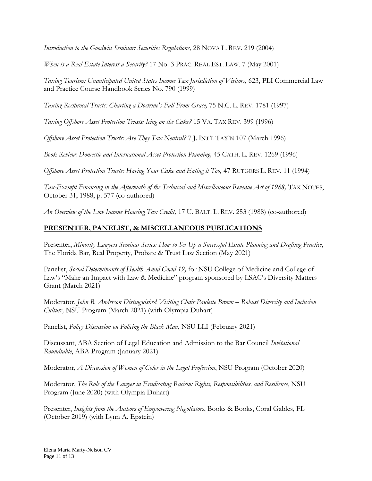*Introduction to the Goodwin Seminar: Securities Regulations,* 28 NOVA L. REV. 219 (2004)

*When is a Real Estate Interest a Security?* 17 No. 3 PRAC. REAL EST. LAW. 7 (May 2001)

Taxing Tourism: Unanticipated United States Income Tax Jurisdiction of Visitors, 623, PLI Commercial Law and Practice Course Handbook Series No. 790 (1999)

*Taxing Reciprocal Trusts: Charting a Doctrine's Fall From Grace,* 75 N.C. L. REV. 1781 (1997)

*Taxing Offshore Asset Protection Trusts: Icing on the Cake?* 15 VA. TAX REV. 399 (1996)

*Offshore Asset Protection Trusts: Are They Tax Neutral?* 7 J. INT'L TAX'N 107 (March 1996)

*Book Review: Domestic and International Asset Protection Planning,* 45 CATH. L. REV. 1269 (1996)

*Offshore Asset Protection Trusts: Having Your Cake and Eating it Too, 47 RUTGERS L. REV. 11 (1994)* 

Tax-Exempt Financing in the Aftermath of the Technical and Miscellaneous Revenue Act of 1988, TAX NOTES, October 31, 1988, p. 577 (co-authored)

*An Overview of the Low Income Housing Tax Credit,* 17 U. BALT. L. REV. 253 (1988) (co-authored)

# **PRESENTER, PANELIST, & MISCELLANEOUS PUBLICATIONS**

Presenter, *Minority Lawyers Seminar Series: How to Set Up a Successful Estate Planning and Drafting Practice*, The Florida Bar, Real Property, Probate & Trust Law Section (May 2021)

Panelist, *Social Determinants of Health Amid Covid 19,* for NSU College of Medicine and College of Law's "Make an Impact with Law & Medicine" program sponsored by LSAC's Diversity Matters Grant (March 2021)

Moderator, *John B. Anderson Distinguished Visiting Chair Paulette Brown – Robust Diversity and Inclusion Culture,* NSU Program (March 2021) (with Olympia Duhart)

Panelist, *Policy Discussion on Policing the Black Man*, NSU LLI (February 2021)

Discussant, ABA Section of Legal Education and Admission to the Bar Council *Invitational Roundtable*, ABA Program (January 2021)

Moderator, *A Discussion of Women of Color in the Legal Profession*, NSU Program (October 2020)

Moderator, *The Role of the Lawyer in Eradicating Racism: Rights, Responsibilities, and Resilience*, NSU Program (June 2020) (with Olympia Duhart)

Presenter, *Insights from the Authors of Empowering Negotiators*, Books & Books, Coral Gables, FL (October 2019) (with Lynn A. Epstein)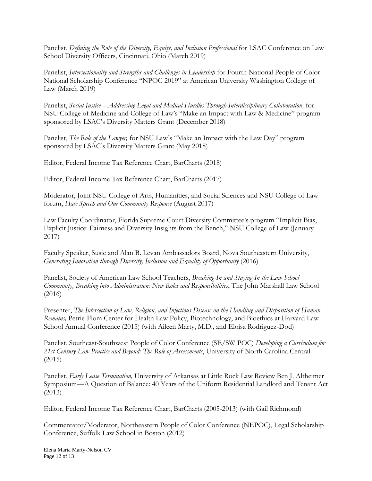Panelist, *Defining the Role of the Diversity, Equity, and Inclusion Professional* for LSAC Conference on Law School Diversity Officers, Cincinnati, Ohio (March 2019)

Panelist, *Intersectionality and Strengths and Challenges in Leadership* for Fourth National People of Color National Scholarship Conference "NPOC 2019" at American University Washington College of Law (March 2019)

Panelist, *Social Justice – Addressing Legal and Medical Hurdles Through Interdisciplinary Collaboration,* for NSU College of Medicine and College of Law's "Make an Impact with Law & Medicine" program sponsored by LSAC's Diversity Matters Grant (December 2018)

Panelist, *The Role of the Lawyer,* for NSU Law's "Make an Impact with the Law Day" program sponsored by LSAC's Diversity Matters Grant (May 2018)

Editor, Federal Income Tax Reference Chart, BarCharts (2018)

Editor, Federal Income Tax Reference Chart, BarCharts (2017)

Moderator, Joint NSU College of Arts, Humanities, and Social Sciences and NSU College of Law forum, *Hate Speech and Our Community Response* (August 2017)

Law Faculty Coordinator, Florida Supreme Court Diversity Committee's program "Implicit Bias, Explicit Justice: Fairness and Diversity Insights from the Bench," NSU College of Law (January 2017)

Faculty Speaker, Susie and Alan B. Levan Ambassadors Board, Nova Southeastern University, *Generating Innovation through Diversity, Inclusion and Equality of Opportunity* (2016)

Panelist, Society of American Law School Teachers, *Breaking-In and Staying-In the Law School Community, Breaking into Administration: New Roles and Responsibilities*, The John Marshall Law School (2016)

Presenter, *The Intersection of Law, Religion, and Infectious Disease on the Handling and Disposition of Human Remains,* Petrie-Flom Center for Health Law Policy, Biotechnology, and Bioethics at Harvard Law School Annual Conference (2015) (with Aileen Marty, M.D., and Eloisa Rodriguez-Dod)

Panelist, Southeast-Southwest People of Color Conference (SE/SW POC) *Developing a Curriculum for 21st Century Law Practice and Beyond: The Role of Assessments*, University of North Carolina Central (2015)

Panelist, *Early Lease Termination,* University of Arkansas at Little Rock Law Review Ben J. Altheimer Symposium—A Question of Balance: 40 Years of the Uniform Residential Landlord and Tenant Act (2013)

Editor, Federal Income Tax Reference Chart, BarCharts (2005-2013) (with Gail Richmond)

Commentator/Moderator, Northeastern People of Color Conference (NEPOC), Legal Scholarship Conference, Suffolk Law School in Boston (2012)